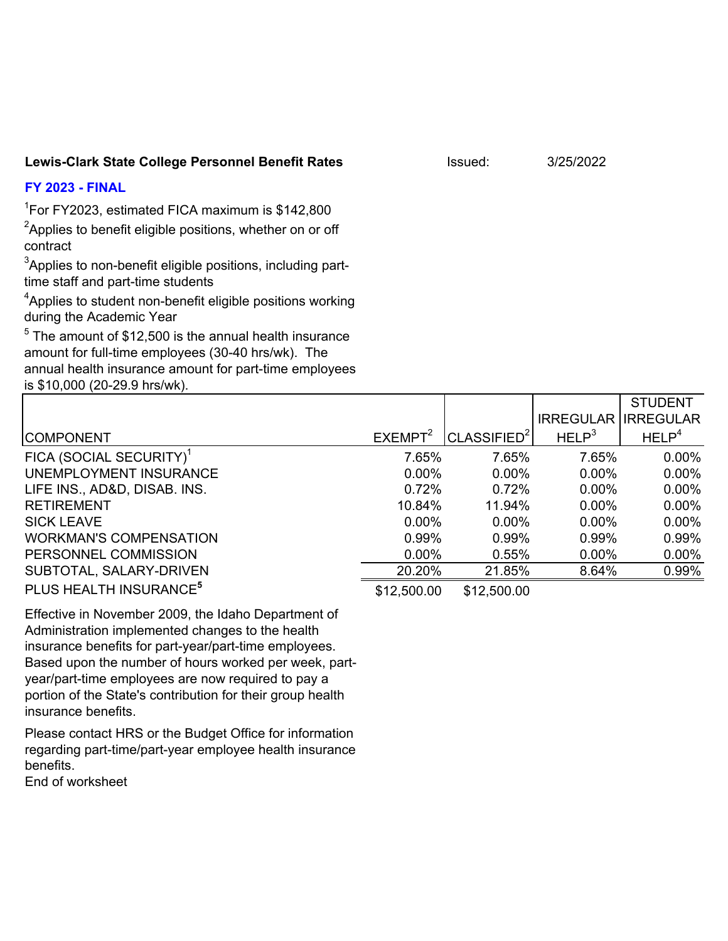## Lewis-Clark State College Personnel Benefit Rates **Interpreterate System** Issued: 3/25/2022

## **FY 2023 - FINAL**

<sup>1</sup>For FY2023, estimated FICA maximum is \$142,800

 ${}^{2}$ Applies to benefit eligible positions, whether on or off contract

 $^3$ Applies to non-benefit eligible positions, including parttime staff and part-time students

 ${}^{4}$ Applies to student non-benefit eligible positions working during the Academic Year

 $^5$  The amount of  $$12,500$  is the annual health insurance amount for full-time employees (30-40 hrs/wk). The annual health insurance amount for part-time employees is \$10,000 (20-29.9 hrs/wk).

|                                     |                     |                         |                   | <b>STUDENT</b>    |
|-------------------------------------|---------------------|-------------------------|-------------------|-------------------|
|                                     |                     |                         | <b>IRREGULAR</b>  | <b>IRREGULAR</b>  |
| <b>COMPONENT</b>                    | EXEMPT <sup>2</sup> | CLASSIFIED <sup>2</sup> | HELP <sup>3</sup> | HELP <sup>4</sup> |
| FICA (SOCIAL SECURITY) <sup>1</sup> | 7.65%               | 7.65%                   | 7.65%             | $0.00\%$          |
| UNEMPLOYMENT INSURANCE              | $0.00\%$            | $0.00\%$                | $0.00\%$          | $0.00\%$          |
| LIFE INS., AD&D, DISAB. INS.        | 0.72%               | 0.72%                   | $0.00\%$          | $0.00\%$          |
| <b>RETIREMENT</b>                   | 10.84%              | 11.94%                  | $0.00\%$          | $0.00\%$          |
| <b>SICK LEAVE</b>                   | $0.00\%$            | $0.00\%$                | $0.00\%$          | $0.00\%$          |
| <b>WORKMAN'S COMPENSATION</b>       | 0.99%               | 0.99%                   | 0.99%             | 0.99%             |
| PERSONNEL COMMISSION                | $0.00\%$            | 0.55%                   | $0.00\%$          | $0.00\%$          |
| SUBTOTAL, SALARY-DRIVEN             | 20.20%              | 21.85%                  | 8.64%             | 0.99%             |
| PLUS HEALTH INSURANCE <sup>5</sup>  | \$12,500.00         | \$12,500.00             |                   |                   |

Effective in November 2009, the Idaho Department of Administration implemented changes to the health insurance benefits for part-year/part-time employees. Based upon the number of hours worked per week, partyear/part-time employees are now required to pay a portion of the State's contribution for their group health insurance benefits.

Please contact HRS or the Budget Office for information regarding part-time/part-year employee health insurance benefits.

End of worksheet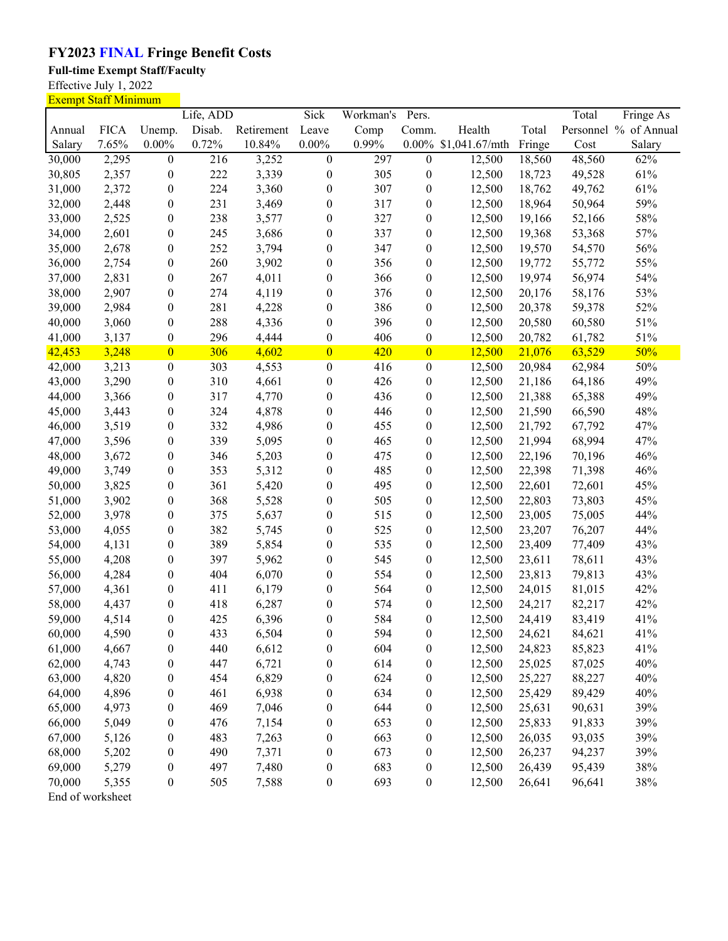## **FY2023 FINAL Fringe Benefit Costs**

**Full-time Exempt Staff/Faculty**

Effective July 1, 2022

|        | <b>Exempt Staff Minimum</b> |                  |           |            |                  |           |                  |                |        |        |                       |
|--------|-----------------------------|------------------|-----------|------------|------------------|-----------|------------------|----------------|--------|--------|-----------------------|
|        |                             |                  | Life, ADD |            | Sick             | Workman's | Pers.            |                |        | Total  | Fringe As             |
| Annual | <b>FICA</b>                 | Unemp.           | Disab.    | Retirement | Leave            | Comp      | Comm.            | Health         | Total  |        | Personnel % of Annual |
| Salary | 7.65%                       | $0.00\%$         | 0.72%     | 10.84%     | $0.00\%$         | 0.99%     | $0.00\%$         | \$1,041.67/mth | Fringe | Cost   | Salary                |
| 30,000 | 2,295                       | $\boldsymbol{0}$ | 216       | 3,252      | $\boldsymbol{0}$ | 297       | $\boldsymbol{0}$ | 12,500         | 18,560 | 48,560 | 62%                   |
| 30,805 | 2,357                       | $\boldsymbol{0}$ | 222       | 3,339      | $\boldsymbol{0}$ | 305       | $\boldsymbol{0}$ | 12,500         | 18,723 | 49,528 | 61%                   |
| 31,000 | 2,372                       | $\boldsymbol{0}$ | 224       | 3,360      | $\boldsymbol{0}$ | 307       | 0                | 12,500         | 18,762 | 49,762 | 61%                   |
| 32,000 | 2,448                       | $\boldsymbol{0}$ | 231       | 3,469      | $\boldsymbol{0}$ | 317       | 0                | 12,500         | 18,964 | 50,964 | 59%                   |
| 33,000 | 2,525                       | $\boldsymbol{0}$ | 238       | 3,577      | $\boldsymbol{0}$ | 327       | $\boldsymbol{0}$ | 12,500         | 19,166 | 52,166 | 58%                   |
| 34,000 | 2,601                       | $\boldsymbol{0}$ | 245       | 3,686      | $\boldsymbol{0}$ | 337       | $\boldsymbol{0}$ | 12,500         | 19,368 | 53,368 | 57%                   |
| 35,000 | 2,678                       | $\boldsymbol{0}$ | 252       | 3,794      | $\boldsymbol{0}$ | 347       | $\boldsymbol{0}$ | 12,500         | 19,570 | 54,570 | 56%                   |
| 36,000 | 2,754                       | $\boldsymbol{0}$ | 260       | 3,902      | $\boldsymbol{0}$ | 356       | $\boldsymbol{0}$ | 12,500         | 19,772 | 55,772 | 55%                   |
| 37,000 | 2,831                       | $\boldsymbol{0}$ | 267       | 4,011      | $\boldsymbol{0}$ | 366       | $\boldsymbol{0}$ | 12,500         | 19,974 | 56,974 | 54%                   |
| 38,000 | 2,907                       | $\boldsymbol{0}$ | 274       | 4,119      | $\boldsymbol{0}$ | 376       | $\boldsymbol{0}$ | 12,500         | 20,176 | 58,176 | 53%                   |
| 39,000 | 2,984                       | $\boldsymbol{0}$ | 281       | 4,228      | $\boldsymbol{0}$ | 386       | $\boldsymbol{0}$ | 12,500         | 20,378 | 59,378 | 52%                   |
| 40,000 | 3,060                       | $\boldsymbol{0}$ | 288       | 4,336      | $\boldsymbol{0}$ | 396       | $\boldsymbol{0}$ | 12,500         | 20,580 | 60,580 | 51%                   |
| 41,000 | 3,137                       | $\boldsymbol{0}$ | 296       | 4,444      | $\boldsymbol{0}$ | 406       | $\boldsymbol{0}$ | 12,500         | 20,782 | 61,782 | 51%                   |
| 42,453 | 3,248                       | $\overline{0}$   | 306       | 4,602      | $\overline{0}$   | 420       | $\overline{0}$   | 12,500         | 21,076 | 63,529 | 50%                   |
| 42,000 | 3,213                       | $\boldsymbol{0}$ | 303       | 4,553      | $\boldsymbol{0}$ | 416       | $\boldsymbol{0}$ | 12,500         | 20,984 | 62,984 | 50%                   |
| 43,000 | 3,290                       | $\boldsymbol{0}$ | 310       | 4,661      | $\boldsymbol{0}$ | 426       | $\boldsymbol{0}$ | 12,500         | 21,186 | 64,186 | 49%                   |
| 44,000 | 3,366                       | $\boldsymbol{0}$ | 317       | 4,770      | $\boldsymbol{0}$ | 436       | $\boldsymbol{0}$ | 12,500         | 21,388 | 65,388 | 49%                   |
| 45,000 | 3,443                       | $\boldsymbol{0}$ | 324       | 4,878      | $\boldsymbol{0}$ | 446       | $\boldsymbol{0}$ | 12,500         | 21,590 | 66,590 | 48%                   |
| 46,000 | 3,519                       | $\boldsymbol{0}$ | 332       | 4,986      | $\boldsymbol{0}$ | 455       | 0                | 12,500         | 21,792 | 67,792 | 47%                   |
| 47,000 | 3,596                       | $\boldsymbol{0}$ | 339       | 5,095      | $\boldsymbol{0}$ | 465       | $\boldsymbol{0}$ | 12,500         | 21,994 | 68,994 | 47%                   |
| 48,000 | 3,672                       | $\boldsymbol{0}$ | 346       | 5,203      | $\boldsymbol{0}$ | 475       | $\boldsymbol{0}$ | 12,500         | 22,196 | 70,196 | 46%                   |
| 49,000 | 3,749                       | $\boldsymbol{0}$ | 353       | 5,312      | $\boldsymbol{0}$ | 485       | $\boldsymbol{0}$ | 12,500         | 22,398 | 71,398 | 46%                   |
| 50,000 | 3,825                       | $\boldsymbol{0}$ | 361       | 5,420      | $\boldsymbol{0}$ | 495       | $\boldsymbol{0}$ | 12,500         | 22,601 | 72,601 | 45%                   |
| 51,000 | 3,902                       | $\boldsymbol{0}$ | 368       | 5,528      | $\boldsymbol{0}$ | 505       | $\boldsymbol{0}$ | 12,500         | 22,803 | 73,803 | 45%                   |
| 52,000 | 3,978                       | $\boldsymbol{0}$ | 375       | 5,637      | $\boldsymbol{0}$ | 515       | $\boldsymbol{0}$ | 12,500         | 23,005 | 75,005 | 44%                   |
| 53,000 | 4,055                       | $\boldsymbol{0}$ | 382       | 5,745      | $\boldsymbol{0}$ | 525       | $\boldsymbol{0}$ | 12,500         | 23,207 | 76,207 | 44%                   |
| 54,000 | 4,131                       | $\boldsymbol{0}$ | 389       | 5,854      | $\boldsymbol{0}$ | 535       | $\boldsymbol{0}$ | 12,500         | 23,409 | 77,409 | 43%                   |
| 55,000 | 4,208                       | $\boldsymbol{0}$ | 397       | 5,962      | $\boldsymbol{0}$ | 545       | $\boldsymbol{0}$ | 12,500         | 23,611 | 78,611 | 43%                   |
| 56,000 | 4,284                       | $\boldsymbol{0}$ | 404       | 6,070      | $\boldsymbol{0}$ | 554       | 0                | 12,500         | 23,813 | 79,813 | 43%                   |
| 57,000 | 4,361                       | $\boldsymbol{0}$ | 411       | 6,179      | $\boldsymbol{0}$ | 564       | $\boldsymbol{0}$ | 12,500         | 24,015 | 81,015 | 42%                   |
| 58,000 | 4,437                       | $\boldsymbol{0}$ | 418       | 6,287      | $\boldsymbol{0}$ | 574       | $\boldsymbol{0}$ | 12,500         | 24,217 | 82,217 | 42%                   |
| 59,000 | 4,514                       | $\boldsymbol{0}$ | 425       | 6,396      | $\boldsymbol{0}$ | 584       | 0                | 12,500         | 24,419 | 83,419 | 41%                   |
| 60,000 | 4,590                       | $\boldsymbol{0}$ | 433       | 6,504      | $\boldsymbol{0}$ | 594       | $\boldsymbol{0}$ | 12,500         | 24,621 | 84,621 | 41%                   |
| 61,000 | 4,667                       | $\boldsymbol{0}$ | 440       | 6,612      | $\boldsymbol{0}$ | 604       | 0                | 12,500         | 24,823 | 85,823 | 41%                   |
| 62,000 | 4,743                       | $\boldsymbol{0}$ | 447       | 6,721      | $\boldsymbol{0}$ | 614       | $\boldsymbol{0}$ | 12,500         | 25,025 | 87,025 | 40%                   |
| 63,000 | 4,820                       | $\boldsymbol{0}$ | 454       | 6,829      | $\boldsymbol{0}$ | 624       | $\boldsymbol{0}$ | 12,500         | 25,227 | 88,227 | 40%                   |
| 64,000 | 4,896                       | $\boldsymbol{0}$ | 461       | 6,938      | $\boldsymbol{0}$ | 634       | $\boldsymbol{0}$ | 12,500         | 25,429 | 89,429 | 40%                   |
| 65,000 | 4,973                       | $\boldsymbol{0}$ | 469       | 7,046      | $\boldsymbol{0}$ | 644       | $\boldsymbol{0}$ | 12,500         | 25,631 | 90,631 | 39%                   |
| 66,000 | 5,049                       | $\boldsymbol{0}$ | 476       | 7,154      | $\boldsymbol{0}$ | 653       | $\boldsymbol{0}$ | 12,500         | 25,833 | 91,833 | 39%                   |
| 67,000 | 5,126                       | $\boldsymbol{0}$ | 483       | 7,263      | $\boldsymbol{0}$ | 663       | $\boldsymbol{0}$ | 12,500         | 26,035 | 93,035 | 39%                   |
| 68,000 | 5,202                       | $\boldsymbol{0}$ | 490       | 7,371      | $\boldsymbol{0}$ | 673       | 0                | 12,500         | 26,237 | 94,237 | 39%                   |
| 69,000 | 5,279                       | $\boldsymbol{0}$ | 497       | 7,480      | $\boldsymbol{0}$ | 683       | $\boldsymbol{0}$ | 12,500         | 26,439 | 95,439 | 38%                   |
| 70,000 | 5,355                       | $\boldsymbol{0}$ | 505       | 7,588      | $\boldsymbol{0}$ | 693       | $\boldsymbol{0}$ | 12,500         | 26,641 | 96,641 | 38%                   |
|        |                             |                  |           |            |                  |           |                  |                |        |        |                       |

End of worksheet